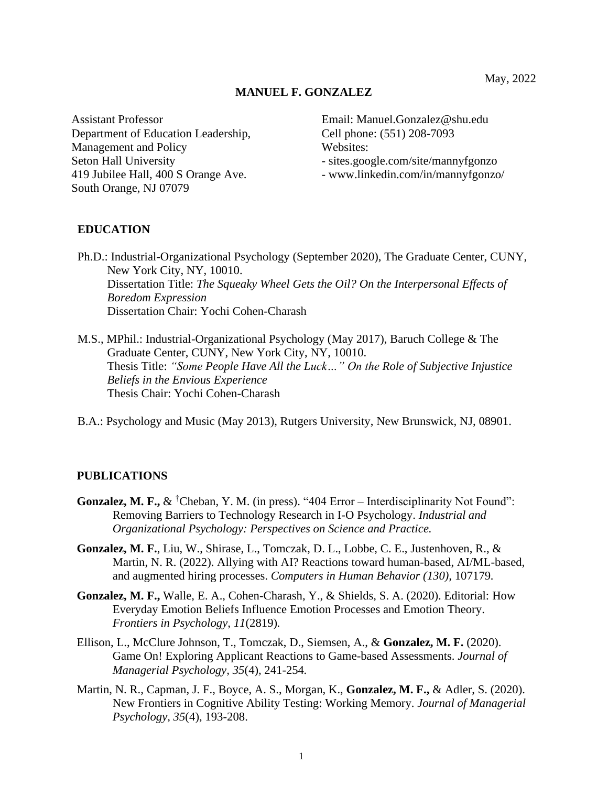#### **MANUEL F. GONZALEZ**

Assistant Professor Email: Manuel.Gonzalez@shu.edu Department of Education Leadership, Cell phone: (551) 208-7093 Management and Policy Websites: Seton Hall University extended the sites.google.com/site/mannyfgonzo 419 Jubilee Hall, 400 S Orange Ave. - www.linkedin.com/in/mannyfgonzo/ South Orange, NJ 07079

## **EDUCATION**

- Ph.D.: Industrial-Organizational Psychology (September 2020), The Graduate Center, CUNY, New York City, NY, 10010. Dissertation Title: *The Squeaky Wheel Gets the Oil? On the Interpersonal Effects of Boredom Expression* Dissertation Chair: Yochi Cohen-Charash
- M.S., MPhil.: Industrial-Organizational Psychology (May 2017), Baruch College & The Graduate Center, CUNY, New York City, NY, 10010. Thesis Title: *"Some People Have All the Luck…" On the Role of Subjective Injustice Beliefs in the Envious Experience* Thesis Chair: Yochi Cohen-Charash
- B.A.: Psychology and Music (May 2013), Rutgers University, New Brunswick, NJ, 08901.

#### **PUBLICATIONS**

- **Gonzalez, M. F.,** & <sup>†</sup>Cheban, Y. M. (in press). "404 Error Interdisciplinarity Not Found": Removing Barriers to Technology Research in I-O Psychology. *Industrial and Organizational Psychology: Perspectives on Science and Practice.*
- **Gonzalez, M. F.**, Liu, W., Shirase, L., Tomczak, D. L., Lobbe, C. E., Justenhoven, R., & Martin, N. R. (2022). Allying with AI? Reactions toward human-based, AI/ML-based, and augmented hiring processes. *Computers in Human Behavior (130),* 107179*.*
- **Gonzalez, M. F.,** Walle, E. A., Cohen-Charash, Y., & Shields, S. A. (2020). Editorial: How Everyday Emotion Beliefs Influence Emotion Processes and Emotion Theory. *Frontiers in Psychology, 11*(2819)*.*
- Ellison, L., McClure Johnson, T., Tomczak, D., Siemsen, A., & **Gonzalez, M. F.** (2020). Game On! Exploring Applicant Reactions to Game-based Assessments. *Journal of Managerial Psychology, 35*(4)*,* 241-254*.*
- Martin, N. R., Capman, J. F., Boyce, A. S., Morgan, K., **Gonzalez, M. F.,** & Adler, S. (2020). New Frontiers in Cognitive Ability Testing: Working Memory. *Journal of Managerial Psychology, 35*(4), 193-208.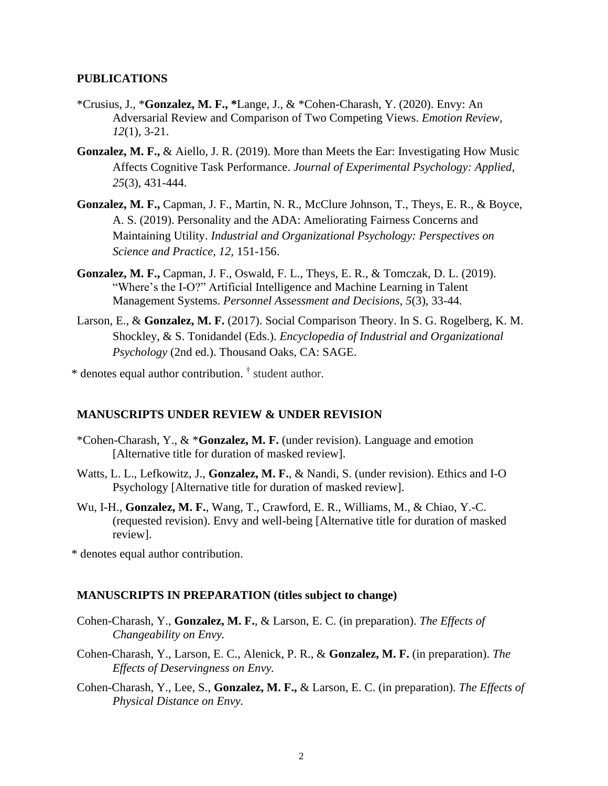#### **PUBLICATIONS**

- \*Crusius, J., \***Gonzalez, M. F., \***Lange, J., & \*Cohen-Charash, Y. (2020). Envy: An Adversarial Review and Comparison of Two Competing Views. *Emotion Review, 12*(1), 3-21.
- **Gonzalez, M. F.,** & Aiello, J. R. (2019). More than Meets the Ear: Investigating How Music Affects Cognitive Task Performance. *Journal of Experimental Psychology: Applied, 25*(3), 431-444.
- **Gonzalez, M. F.,** Capman, J. F., Martin, N. R., McClure Johnson, T., Theys, E. R., & Boyce, A. S. (2019). Personality and the ADA: Ameliorating Fairness Concerns and Maintaining Utility. *Industrial and Organizational Psychology: Perspectives on Science and Practice, 12,* 151-156.
- **Gonzalez, M. F.,** Capman, J. F., Oswald, F. L., Theys, E. R., & Tomczak, D. L. (2019). "Where's the I-O?" Artificial Intelligence and Machine Learning in Talent Management Systems. *Personnel Assessment and Decisions, 5*(3), 33-44*.*
- Larson, E., & **Gonzalez, M. F.** (2017). Social Comparison Theory. In S. G. Rogelberg, K. M. Shockley, & S. Tonidandel (Eds.). *Encyclopedia of Industrial and Organizational Psychology* (2nd ed.). Thousand Oaks, CA: SAGE.

\* denotes equal author contribution. † student author.

#### **MANUSCRIPTS UNDER REVIEW & UNDER REVISION**

- \*Cohen-Charash, Y., & \***Gonzalez, M. F.** (under revision). Language and emotion [Alternative title for duration of masked review].
- Watts, L. L., Lefkowitz, J., **Gonzalez, M. F.**, & Nandi, S. (under revision). Ethics and I-O Psychology [Alternative title for duration of masked review].
- Wu, I-H., **Gonzalez, M. F.**, Wang, T., Crawford, E. R., Williams, M., & Chiao, Y.-C. (requested revision). Envy and well-being [Alternative title for duration of masked review].

\* denotes equal author contribution.

#### **MANUSCRIPTS IN PREPARATION (titles subject to change)**

- Cohen-Charash, Y., **Gonzalez, M. F.**, & Larson, E. C. (in preparation). *The Effects of Changeability on Envy.*
- Cohen-Charash, Y., Larson, E. C., Alenick, P. R., & **Gonzalez, M. F.** (in preparation). *The Effects of Deservingness on Envy.*
- Cohen-Charash, Y., Lee, S., **Gonzalez, M. F.,** & Larson, E. C. (in preparation). *The Effects of Physical Distance on Envy.*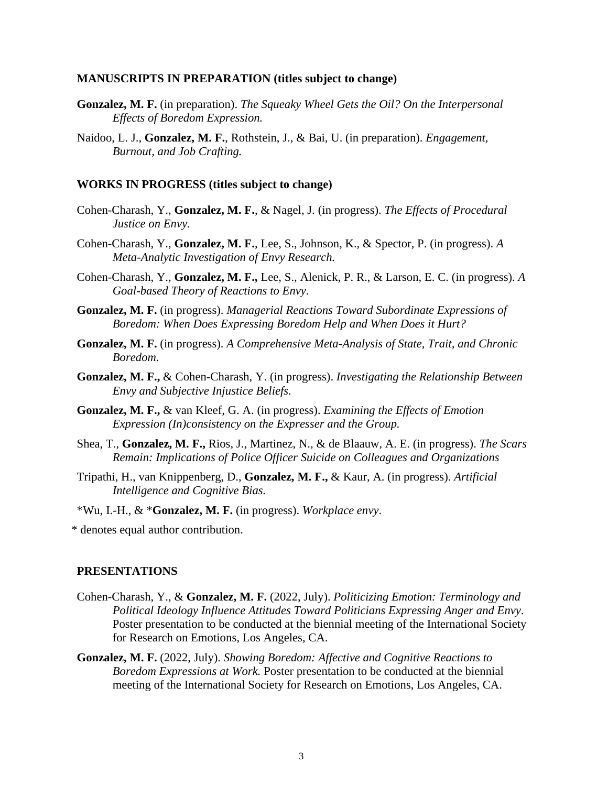#### **MANUSCRIPTS IN PREPARATION (titles subject to change)**

- **Gonzalez, M. F.** (in preparation). *The Squeaky Wheel Gets the Oil? On the Interpersonal Effects of Boredom Expression.*
- Naidoo, L. J., **Gonzalez, M. F.**, Rothstein, J., & Bai, U. (in preparation). *Engagement, Burnout, and Job Crafting.*

#### **WORKS IN PROGRESS (titles subject to change)**

- Cohen-Charash, Y., **Gonzalez, M. F.**, & Nagel, J. (in progress). *The Effects of Procedural Justice on Envy.*
- Cohen-Charash, Y., **Gonzalez, M. F.**, Lee, S., Johnson, K., & Spector, P. (in progress). *A Meta-Analytic Investigation of Envy Research.*
- Cohen-Charash, Y., **Gonzalez, M. F.,** Lee, S., Alenick, P. R., & Larson, E. C. (in progress). *A Goal-based Theory of Reactions to Envy*.
- **Gonzalez, M. F.** (in progress). *Managerial Reactions Toward Subordinate Expressions of Boredom: When Does Expressing Boredom Help and When Does it Hurt?*
- **Gonzalez, M. F.** (in progress). *A Comprehensive Meta-Analysis of State, Trait, and Chronic Boredom.*
- **Gonzalez, M. F.,** & Cohen-Charash, Y. (in progress). *Investigating the Relationship Between Envy and Subjective Injustice Beliefs.*
- **Gonzalez, M. F.,** & van Kleef, G. A. (in progress). *Examining the Effects of Emotion Expression (In)consistency on the Expresser and the Group.*
- Shea, T., **Gonzalez, M. F.,** Rios, J., Martinez, N., & de Blaauw, A. E. (in progress). *The Scars Remain: Implications of Police Officer Suicide on Colleagues and Organizations*
- Tripathi, H., van Knippenberg, D., **Gonzalez, M. F.,** & Kaur, A. (in progress). *Artificial Intelligence and Cognitive Bias.*
- \*Wu, I.-H., & \***Gonzalez, M. F.** (in progress). *Workplace envy*.

\* denotes equal author contribution.

- Cohen-Charash, Y., & **Gonzalez, M. F.** (2022, July). *Politicizing Emotion: Terminology and Political Ideology Influence Attitudes Toward Politicians Expressing Anger and Envy.* Poster presentation to be conducted at the biennial meeting of the International Society for Research on Emotions, Los Angeles, CA.
- **Gonzalez, M. F.** (2022, July). *Showing Boredom: Affective and Cognitive Reactions to Boredom Expressions at Work.* Poster presentation to be conducted at the biennial meeting of the International Society for Research on Emotions, Los Angeles, CA.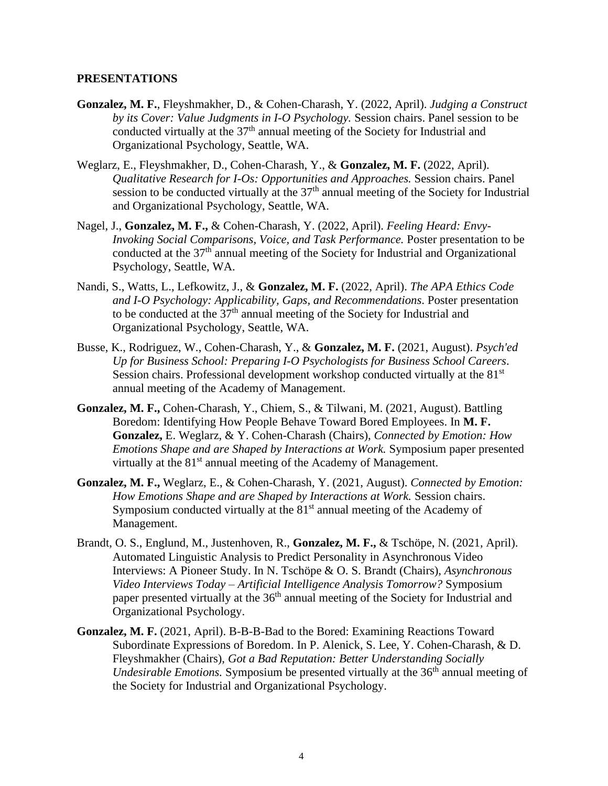- **Gonzalez, M. F.**, Fleyshmakher, D., & Cohen-Charash, Y. (2022, April). *Judging a Construct by its Cover: Value Judgments in I-O Psychology.* Session chairs. Panel session to be conducted virtually at the 37th annual meeting of the Society for Industrial and Organizational Psychology, Seattle, WA.
- Weglarz, E., Fleyshmakher, D., Cohen-Charash, Y., & **Gonzalez, M. F.** (2022, April). *Qualitative Research for I-Os: Opportunities and Approaches.* Session chairs. Panel session to be conducted virtually at the  $37<sup>th</sup>$  annual meeting of the Society for Industrial and Organizational Psychology, Seattle, WA.
- Nagel, J., **Gonzalez, M. F.,** & Cohen-Charash, Y. (2022, April). *Feeling Heard: Envy-Invoking Social Comparisons, Voice, and Task Performance.* Poster presentation to be conducted at the  $37<sup>th</sup>$  annual meeting of the Society for Industrial and Organizational Psychology, Seattle, WA.
- Nandi, S., Watts, L., Lefkowitz, J., & **Gonzalez, M. F.** (2022, April). *The APA Ethics Code and I-O Psychology: Applicability, Gaps, and Recommendations*. Poster presentation to be conducted at the  $37<sup>th</sup>$  annual meeting of the Society for Industrial and Organizational Psychology, Seattle, WA.
- Busse, K., Rodriguez, W., Cohen-Charash, Y., & **Gonzalez, M. F.** (2021, August). *Psych'ed Up for Business School: Preparing I-O Psychologists for Business School Careers*. Session chairs. Professional development workshop conducted virtually at the 81<sup>st</sup> annual meeting of the Academy of Management.
- **Gonzalez, M. F.,** Cohen-Charash, Y., Chiem, S., & Tilwani, M. (2021, August). Battling Boredom: Identifying How People Behave Toward Bored Employees. In **M. F. Gonzalez,** E. Weglarz, & Y. Cohen-Charash (Chairs), *Connected by Emotion: How Emotions Shape and are Shaped by Interactions at Work.* Symposium paper presented virtually at the  $81<sup>st</sup>$  annual meeting of the Academy of Management.
- **Gonzalez, M. F.,** Weglarz, E., & Cohen-Charash, Y. (2021, August). *Connected by Emotion: How Emotions Shape and are Shaped by Interactions at Work.* Session chairs. Symposium conducted virtually at the  $81<sup>st</sup>$  annual meeting of the Academy of Management.
- Brandt, O. S., Englund, M., Justenhoven, R., **Gonzalez, M. F.,** & Tschöpe, N. (2021, April). Automated Linguistic Analysis to Predict Personality in Asynchronous Video Interviews: A Pioneer Study. In N. Tschöpe & O. S. Brandt (Chairs), *Asynchronous Video Interviews Today – Artificial Intelligence Analysis Tomorrow?* Symposium paper presented virtually at the 36<sup>th</sup> annual meeting of the Society for Industrial and Organizational Psychology.
- **Gonzalez, M. F.** (2021, April). B-B-B-Bad to the Bored: Examining Reactions Toward Subordinate Expressions of Boredom. In P. Alenick, S. Lee, Y. Cohen-Charash, & D. Fleyshmakher (Chairs), *Got a Bad Reputation: Better Understanding Socially Undesirable Emotions.* Symposium be presented virtually at the 36<sup>th</sup> annual meeting of the Society for Industrial and Organizational Psychology.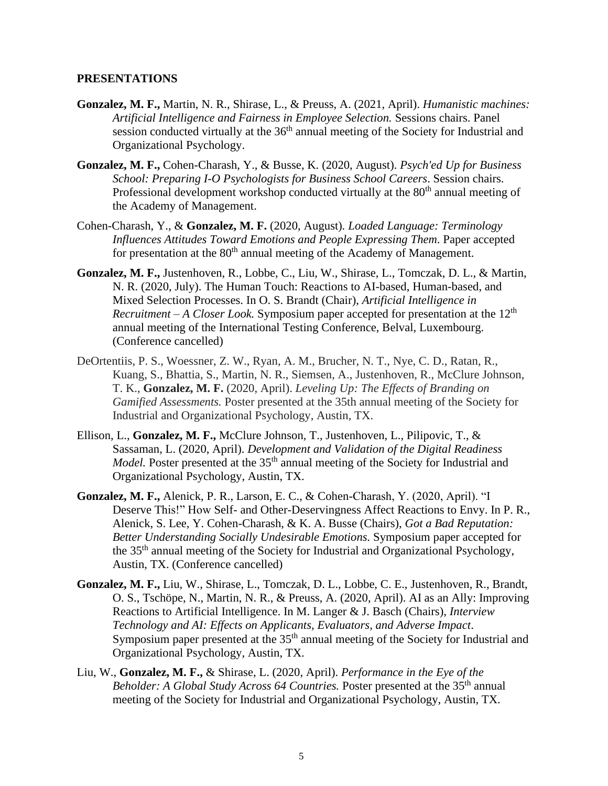- **Gonzalez, M. F.,** Martin, N. R., Shirase, L., & Preuss, A. (2021, April). *Humanistic machines: Artificial Intelligence and Fairness in Employee Selection.* Sessions chairs. Panel session conducted virtually at the 36<sup>th</sup> annual meeting of the Society for Industrial and Organizational Psychology.
- **Gonzalez, M. F.,** Cohen-Charash, Y., & Busse, K. (2020, August). *Psych'ed Up for Business School: Preparing I-O Psychologists for Business School Careers*. Session chairs. Professional development workshop conducted virtually at the 80<sup>th</sup> annual meeting of the Academy of Management.
- Cohen-Charash, Y., & **Gonzalez, M. F.** (2020, August)*. Loaded Language: Terminology Influences Attitudes Toward Emotions and People Expressing Them*. Paper accepted for presentation at the  $80<sup>th</sup>$  annual meeting of the Academy of Management.
- **Gonzalez, M. F.,** Justenhoven, R., Lobbe, C., Liu, W., Shirase, L., Tomczak, D. L., & Martin, N. R. (2020, July). The Human Touch: Reactions to AI-based, Human-based, and Mixed Selection Processes. In O. S. Brandt (Chair), *Artificial Intelligence in Recruitment – A Closer Look.* Symposium paper accepted for presentation at the 12th annual meeting of the International Testing Conference, Belval, Luxembourg. (Conference cancelled)
- DeOrtentiis, P. S., Woessner, Z. W., Ryan, A. M., Brucher, N. T., Nye, C. D., Ratan, R., Kuang, S., Bhattia, S., Martin, N. R., Siemsen, A., Justenhoven, R., McClure Johnson, T. K., **Gonzalez, M. F.** (2020, April). *Leveling Up: The Effects of Branding on Gamified Assessments.* Poster presented at the 35th annual meeting of the Society for Industrial and Organizational Psychology, Austin, TX.
- Ellison, L., **Gonzalez, M. F.,** McClure Johnson, T., Justenhoven, L., Pilipovic, T., & Sassaman, L. (2020, April). *Development and Validation of the Digital Readiness Model*. Poster presented at the 35<sup>th</sup> annual meeting of the Society for Industrial and Organizational Psychology, Austin, TX.
- **Gonzalez, M. F.,** Alenick, P. R., Larson, E. C., & Cohen-Charash, Y. (2020, April). "I Deserve This!" How Self- and Other-Deservingness Affect Reactions to Envy. In P. R., Alenick, S. Lee, Y. Cohen-Charash, & K. A. Busse (Chairs), *Got a Bad Reputation: Better Understanding Socially Undesirable Emotions.* Symposium paper accepted for the 35th annual meeting of the Society for Industrial and Organizational Psychology, Austin, TX. (Conference cancelled)
- **Gonzalez, M. F.,** Liu, W., Shirase, L., Tomczak, D. L., Lobbe, C. E., Justenhoven, R., Brandt, O. S., Tschöpe, N., Martin, N. R., & Preuss, A. (2020, April). AI as an Ally: Improving Reactions to Artificial Intelligence. In M. Langer & J. Basch (Chairs), *Interview Technology and AI: Effects on Applicants, Evaluators, and Adverse Impact*. Symposium paper presented at the 35<sup>th</sup> annual meeting of the Society for Industrial and Organizational Psychology, Austin, TX.
- Liu, W., **Gonzalez, M. F.,** & Shirase, L. (2020, April). *Performance in the Eye of the Beholder: A Global Study Across 64 Countries. Poster presented at the 35<sup>th</sup> annual* meeting of the Society for Industrial and Organizational Psychology, Austin, TX.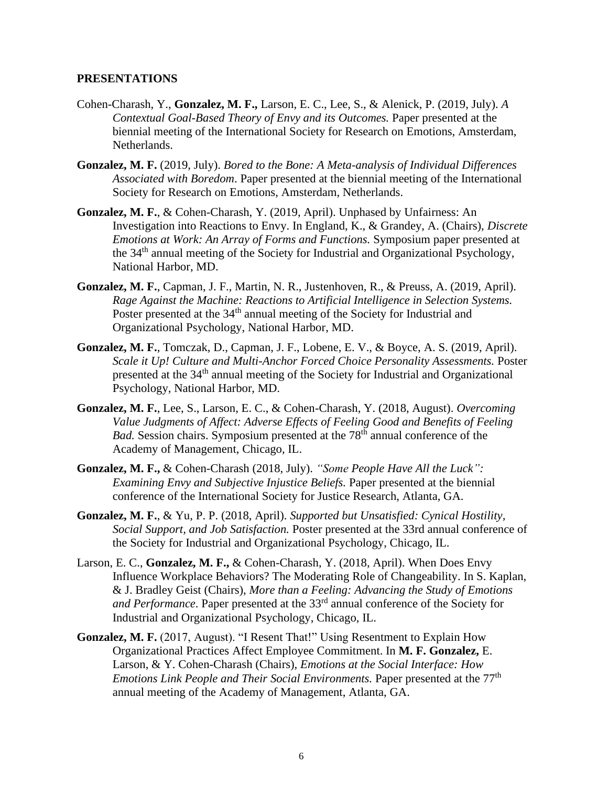- Cohen-Charash, Y., **Gonzalez, M. F.,** Larson, E. C., Lee, S., & Alenick, P. (2019, July). *A Contextual Goal-Based Theory of Envy and its Outcomes.* Paper presented at the biennial meeting of the International Society for Research on Emotions, Amsterdam, Netherlands.
- **Gonzalez, M. F.** (2019, July). *Bored to the Bone: A Meta-analysis of Individual Differences Associated with Boredom*. Paper presented at the biennial meeting of the International Society for Research on Emotions, Amsterdam, Netherlands.
- **Gonzalez, M. F.**, & Cohen-Charash, Y. (2019, April). Unphased by Unfairness: An Investigation into Reactions to Envy. In England, K., & Grandey, A. (Chairs), *Discrete Emotions at Work: An Array of Forms and Functions.* Symposium paper presented at the 34th annual meeting of the Society for Industrial and Organizational Psychology, National Harbor, MD.
- **Gonzalez, M. F.**, Capman, J. F., Martin, N. R., Justenhoven, R., & Preuss, A. (2019, April). *Rage Against the Machine: Reactions to Artificial Intelligence in Selection Systems.* Poster presented at the 34<sup>th</sup> annual meeting of the Society for Industrial and Organizational Psychology, National Harbor, MD.
- **Gonzalez, M. F.**, Tomczak, D., Capman, J. F., Lobene, E. V., & Boyce, A. S. (2019, April). *Scale it Up! Culture and Multi-Anchor Forced Choice Personality Assessments.* Poster presented at the 34th annual meeting of the Society for Industrial and Organizational Psychology, National Harbor, MD.
- **Gonzalez, M. F.**, Lee, S., Larson, E. C., & Cohen-Charash, Y. (2018, August). *Overcoming Value Judgments of Affect: Adverse Effects of Feeling Good and Benefits of Feeling Bad.* Session chairs. Symposium presented at the 78<sup>th</sup> annual conference of the Academy of Management, Chicago, IL.
- **Gonzalez, M. F.,** & Cohen-Charash (2018, July). *"Some People Have All the Luck": Examining Envy and Subjective Injustice Beliefs.* Paper presented at the biennial conference of the International Society for Justice Research, Atlanta, GA.
- **Gonzalez, M. F.**, & Yu, P. P. (2018, April). *Supported but Unsatisfied: Cynical Hostility, Social Support, and Job Satisfaction.* Poster presented at the 33rd annual conference of the Society for Industrial and Organizational Psychology, Chicago, IL.
- Larson, E. C., **Gonzalez, M. F.,** & Cohen-Charash, Y. (2018, April). When Does Envy Influence Workplace Behaviors? The Moderating Role of Changeability. In S. Kaplan, & J. Bradley Geist (Chairs), *More than a Feeling: Advancing the Study of Emotions and Performance*. Paper presented at the 33rd annual conference of the Society for Industrial and Organizational Psychology, Chicago, IL.
- **Gonzalez, M. F.** (2017, August). "I Resent That!" Using Resentment to Explain How Organizational Practices Affect Employee Commitment. In **M. F. Gonzalez,** E. Larson, & Y. Cohen-Charash (Chairs), *Emotions at the Social Interface: How Emotions Link People and Their Social Environments.* Paper presented at the 77<sup>th</sup> annual meeting of the Academy of Management, Atlanta, GA.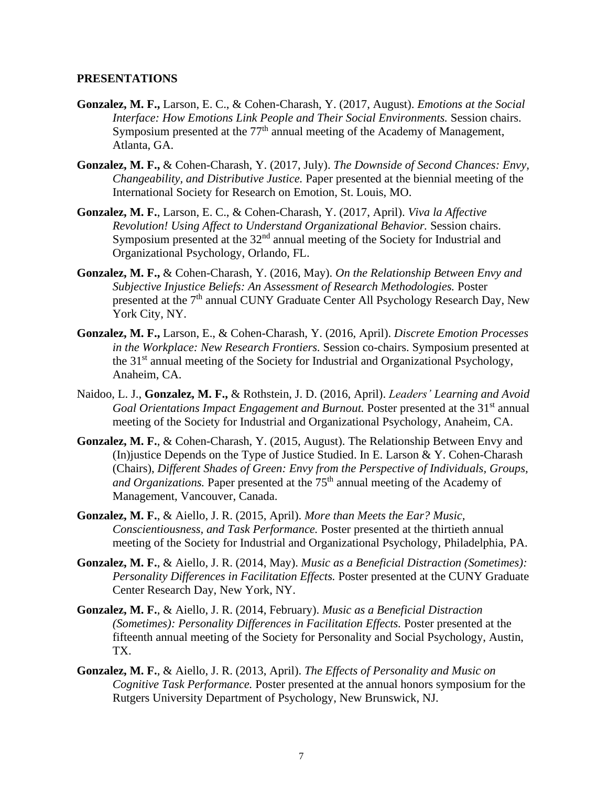- **Gonzalez, M. F.,** Larson, E. C., & Cohen-Charash, Y. (2017, August). *Emotions at the Social Interface: How Emotions Link People and Their Social Environments.* Session chairs. Symposium presented at the 77<sup>th</sup> annual meeting of the Academy of Management, Atlanta, GA.
- **Gonzalez, M. F.,** & Cohen-Charash, Y. (2017, July). *The Downside of Second Chances: Envy, Changeability, and Distributive Justice.* Paper presented at the biennial meeting of the International Society for Research on Emotion, St. Louis, MO.
- **Gonzalez, M. F.**, Larson, E. C., & Cohen-Charash, Y. (2017, April). *Viva la Affective Revolution! Using Affect to Understand Organizational Behavior.* Session chairs. Symposium presented at the 32<sup>nd</sup> annual meeting of the Society for Industrial and Organizational Psychology, Orlando, FL.
- **Gonzalez, M. F.,** & Cohen-Charash, Y. (2016, May). *On the Relationship Between Envy and Subjective Injustice Beliefs: An Assessment of Research Methodologies.* Poster presented at the 7<sup>th</sup> annual CUNY Graduate Center All Psychology Research Day, New York City, NY.
- **Gonzalez, M. F.,** Larson, E., & Cohen-Charash, Y. (2016, April). *Discrete Emotion Processes in the Workplace: New Research Frontiers.* Session co-chairs. Symposium presented at the 31<sup>st</sup> annual meeting of the Society for Industrial and Organizational Psychology, Anaheim, CA.
- Naidoo, L. J., **Gonzalez, M. F.,** & Rothstein, J. D. (2016, April). *Leaders' Learning and Avoid Goal Orientations Impact Engagement and Burnout.* Poster presented at the 31<sup>st</sup> annual meeting of the Society for Industrial and Organizational Psychology, Anaheim, CA.
- **Gonzalez, M. F.**, & Cohen-Charash, Y. (2015, August). The Relationship Between Envy and (In)justice Depends on the Type of Justice Studied. In E. Larson & Y. Cohen-Charash (Chairs), *Different Shades of Green: Envy from the Perspective of Individuals, Groups, and Organizations.* Paper presented at the 75<sup>th</sup> annual meeting of the Academy of Management, Vancouver, Canada.
- **Gonzalez, M. F.**, & Aiello, J. R. (2015, April). *More than Meets the Ear? Music, Conscientiousness, and Task Performance.* Poster presented at the thirtieth annual meeting of the Society for Industrial and Organizational Psychology, Philadelphia, PA.
- **Gonzalez, M. F.**, & Aiello, J. R. (2014, May). *Music as a Beneficial Distraction (Sometimes): Personality Differences in Facilitation Effects.* Poster presented at the CUNY Graduate Center Research Day, New York, NY.
- **Gonzalez, M. F.**, & Aiello, J. R. (2014, February). *Music as a Beneficial Distraction (Sometimes): Personality Differences in Facilitation Effects.* Poster presented at the fifteenth annual meeting of the Society for Personality and Social Psychology, Austin, TX.
- **Gonzalez, M. F.**, & Aiello, J. R. (2013, April). *The Effects of Personality and Music on Cognitive Task Performance.* Poster presented at the annual honors symposium for the Rutgers University Department of Psychology, New Brunswick, NJ.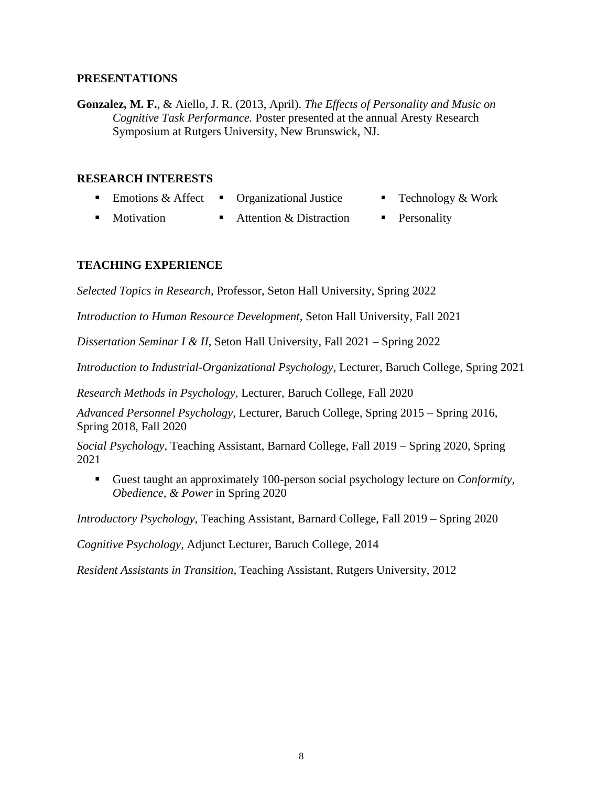**Gonzalez, M. F.**, & Aiello, J. R. (2013, April). *The Effects of Personality and Music on Cognitive Task Performance.* Poster presented at the annual Aresty Research Symposium at Rutgers University, New Brunswick, NJ.

#### **RESEARCH INTERESTS**

- Emotions & Affect Organizational Justice Technology & Work
- 
- Motivation **■** Attention & Distraction **■** Personality

# **TEACHING EXPERIENCE**

*Selected Topics in Research,* Professor, Seton Hall University, Spring 2022

*Introduction to Human Resource Development,* Seton Hall University, Fall 2021

*Dissertation Seminar I & II,* Seton Hall University, Fall 2021 – Spring 2022

*Introduction to Industrial-Organizational Psychology,* Lecturer, Baruch College, Spring 2021

*Research Methods in Psychology,* Lecturer, Baruch College, Fall 2020

*Advanced Personnel Psychology,* Lecturer, Baruch College, Spring 2015 – Spring 2016, Spring 2018, Fall 2020

*Social Psychology,* Teaching Assistant, Barnard College, Fall 2019 – Spring 2020, Spring 2021

▪ Guest taught an approximately 100-person social psychology lecture on *Conformity, Obedience, & Power* in Spring 2020

*Introductory Psychology,* Teaching Assistant, Barnard College, Fall 2019 – Spring 2020

*Cognitive Psychology*, Adjunct Lecturer, Baruch College, 2014

*Resident Assistants in Transition*, Teaching Assistant, Rutgers University, 2012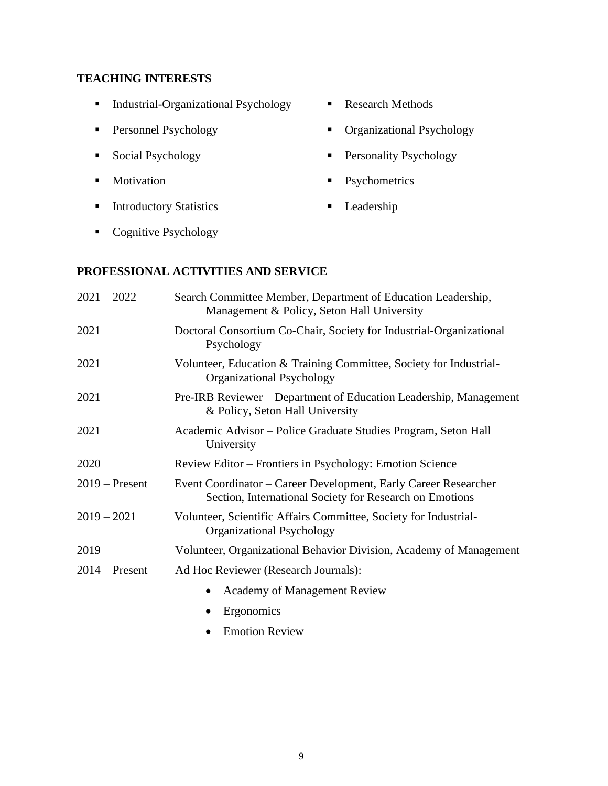# **TEACHING INTERESTS**

- Industrial-Organizational Psychology Research Methods
- 
- 
- 
- Introductory Statistics Leadership
- 
- Personnel Psychology Organizational Psychology
- Social Psychology Personality Psychology
- Motivation Psychometrics
	-

■ Cognitive Psychology

## **PROFESSIONAL ACTIVITIES AND SERVICE**

| $2021 - 2022$    | Search Committee Member, Department of Education Leadership,<br>Management & Policy, Seton Hall University                 |
|------------------|----------------------------------------------------------------------------------------------------------------------------|
| 2021             | Doctoral Consortium Co-Chair, Society for Industrial-Organizational<br>Psychology                                          |
| 2021             | Volunteer, Education & Training Committee, Society for Industrial-<br>Organizational Psychology                            |
| 2021             | Pre-IRB Reviewer – Department of Education Leadership, Management<br>& Policy, Seton Hall University                       |
| 2021             | Academic Advisor – Police Graduate Studies Program, Seton Hall<br>University                                               |
| 2020             | Review Editor – Frontiers in Psychology: Emotion Science                                                                   |
| $2019$ – Present | Event Coordinator – Career Development, Early Career Researcher<br>Section, International Society for Research on Emotions |
| $2019 - 2021$    | Volunteer, Scientific Affairs Committee, Society for Industrial-<br>Organizational Psychology                              |
| 2019             | Volunteer, Organizational Behavior Division, Academy of Management                                                         |
| $2014$ – Present | Ad Hoc Reviewer (Research Journals):                                                                                       |
|                  | Academy of Management Review<br>$\bullet$                                                                                  |
|                  | Ergonomics                                                                                                                 |
|                  | <b>Emotion Review</b><br>$\bullet$                                                                                         |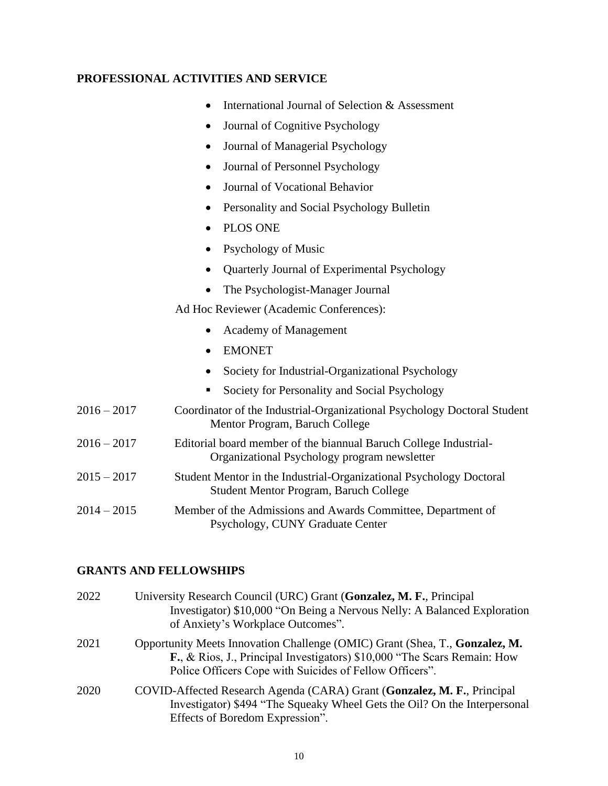# **PROFESSIONAL ACTIVITIES AND SERVICE**

- International Journal of Selection & Assessment
- Journal of Cognitive Psychology
- Journal of Managerial Psychology
- Journal of Personnel Psychology
- Journal of Vocational Behavior
- Personality and Social Psychology Bulletin
- PLOS ONE
- Psychology of Music
- Quarterly Journal of Experimental Psychology
- The Psychologist-Manager Journal

Ad Hoc Reviewer (Academic Conferences):

- Academy of Management
- EMONET
- Society for Industrial-Organizational Psychology
- Society for Personality and Social Psychology
- 2016 2017 Coordinator of the Industrial-Organizational Psychology Doctoral Student Mentor Program, Baruch College
- 2016 2017 Editorial board member of the biannual Baruch College Industrial-Organizational Psychology program newsletter
- 2015 2017 Student Mentor in the Industrial-Organizational Psychology Doctoral Student Mentor Program, Baruch College
- 2014 2015 Member of the Admissions and Awards Committee, Department of Psychology, CUNY Graduate Center

## **GRANTS AND FELLOWSHIPS**

| 2022 | University Research Council (URC) Grant (Gonzalez, M. F., Principal<br>Investigator) \$10,000 "On Being a Nervous Nelly: A Balanced Exploration<br>of Anxiety's Workplace Outcomes".                               |
|------|--------------------------------------------------------------------------------------------------------------------------------------------------------------------------------------------------------------------|
| 2021 | Opportunity Meets Innovation Challenge (OMIC) Grant (Shea, T., Gonzalez, M.<br>F., & Rios, J., Principal Investigators) \$10,000 "The Scars Remain: How<br>Police Officers Cope with Suicides of Fellow Officers". |
| 2020 | COVID-Affected Research Agenda (CARA) Grant (Gonzalez, M. F., Principal<br>Investigator) \$494 "The Squeaky Wheel Gets the Oil? On the Interpersonal<br>Effects of Boredom Expression".                            |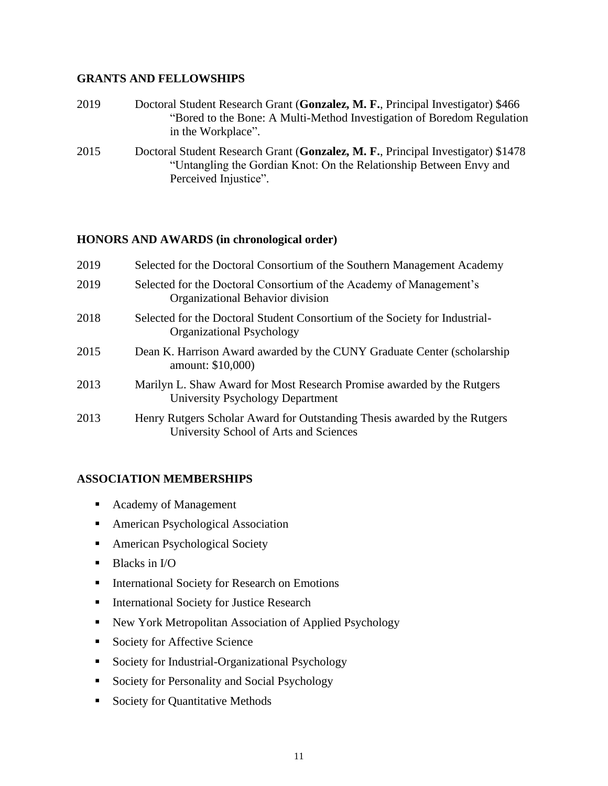## **GRANTS AND FELLOWSHIPS**

- 2019 Doctoral Student Research Grant (**Gonzalez, M. F.**, Principal Investigator) \$466 "Bored to the Bone: A Multi-Method Investigation of Boredom Regulation in the Workplace".
- 2015 Doctoral Student Research Grant (**Gonzalez, M. F.**, Principal Investigator) \$1478 "Untangling the Gordian Knot: On the Relationship Between Envy and Perceived Injustice".

## **HONORS AND AWARDS (in chronological order)**

| 2019 | Selected for the Doctoral Consortium of the Southern Management Academy                                             |
|------|---------------------------------------------------------------------------------------------------------------------|
| 2019 | Selected for the Doctoral Consortium of the Academy of Management's<br>Organizational Behavior division             |
| 2018 | Selected for the Doctoral Student Consortium of the Society for Industrial-<br>Organizational Psychology            |
| 2015 | Dean K. Harrison Award awarded by the CUNY Graduate Center (scholarship<br>amount: \$10,000)                        |
| 2013 | Marilyn L. Shaw Award for Most Research Promise awarded by the Rutgers<br>University Psychology Department          |
| 2013 | Henry Rutgers Scholar Award for Outstanding Thesis awarded by the Rutgers<br>University School of Arts and Sciences |

## **ASSOCIATION MEMBERSHIPS**

- Academy of Management
- American Psychological Association
- American Psychological Society
- $\blacksquare$  Blacks in I/O
- International Society for Research on Emotions
- **EXECUTE:** International Society for Justice Research
- New York Metropolitan Association of Applied Psychology
- Society for Affective Science
- Society for Industrial-Organizational Psychology
- Society for Personality and Social Psychology
- Society for Quantitative Methods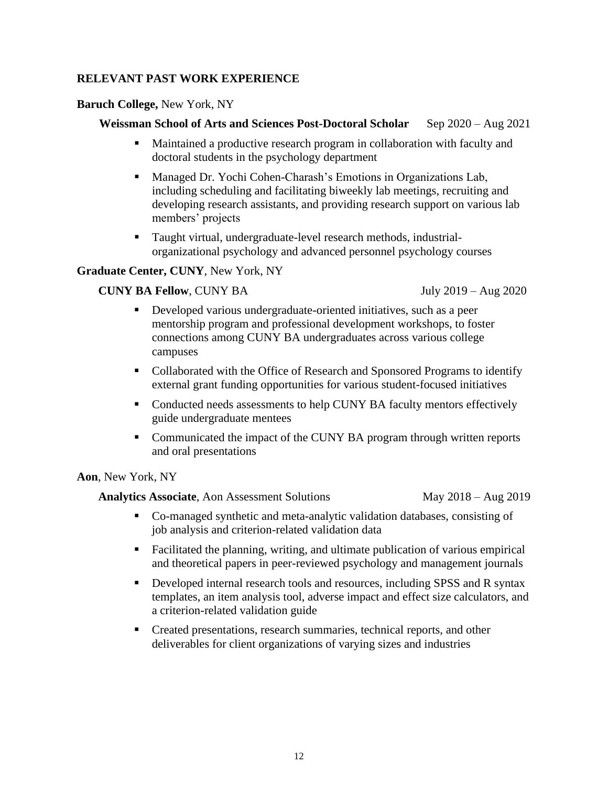## **RELEVANT PAST WORK EXPERIENCE**

## **Baruch College,** New York, NY

## **Weissman School of Arts and Sciences Post-Doctoral Scholar** Sep 2020 – Aug 2021

- Maintained a productive research program in collaboration with faculty and doctoral students in the psychology department
- Managed Dr. Yochi Cohen-Charash's Emotions in Organizations Lab, including scheduling and facilitating biweekly lab meetings, recruiting and developing research assistants, and providing research support on various lab members' projects
- Taught virtual, undergraduate-level research methods, industrial organizational psychology and advanced personnel psychology courses

## **Graduate Center, CUNY**, New York, NY

## **CUNY BA Fellow**, CUNY BA July 2019 – Aug 2020

- Developed various undergraduate-oriented initiatives, such as a peer mentorship program and professional development workshops, to foster connections among CUNY BA undergraduates across various college campuses
- Collaborated with the Office of Research and Sponsored Programs to identify external grant funding opportunities for various student-focused initiatives
- Conducted needs assessments to help CUNY BA faculty mentors effectively guide undergraduate mentees
- Communicated the impact of the CUNY BA program through written reports and oral presentations

#### **Aon**, New York, NY

**Analytics Associate**, Aon Assessment Solutions May 2018 – Aug 2019

- Co-managed synthetic and meta-analytic validation databases, consisting of job analysis and criterion-related validation data
- Facilitated the planning, writing, and ultimate publication of various empirical and theoretical papers in peer-reviewed psychology and management journals
- **•** Developed internal research tools and resources, including SPSS and R syntax templates, an item analysis tool, adverse impact and effect size calculators, and a criterion-related validation guide
- Created presentations, research summaries, technical reports, and other deliverables for client organizations of varying sizes and industries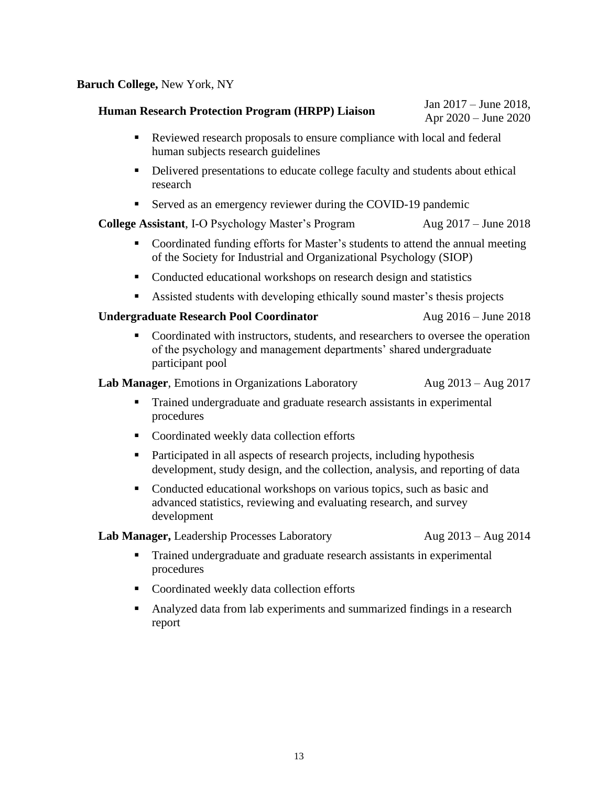## **Baruch College,** New York, NY

# **Human Research Protection Program (HRPP) Liaison** Jan 2017 – June 2018,

Apr 2020 – June 2020

- Reviewed research proposals to ensure compliance with local and federal human subjects research guidelines
- **•** Delivered presentations to educate college faculty and students about ethical research
- Served as an emergency reviewer during the COVID-19 pandemic

## **College Assistant**, I-O Psychology Master's Program Aug 2017 – June 2018

- Coordinated funding efforts for Master's students to attend the annual meeting of the Society for Industrial and Organizational Psychology (SIOP)
- Conducted educational workshops on research design and statistics
- Assisted students with developing ethically sound master's thesis projects

## **Undergraduate Research Pool Coordinator** Aug 2016 – June 2018

Coordinated with instructors, students, and researchers to oversee the operation of the psychology and management departments' shared undergraduate participant pool

**Lab Manager**, Emotions in Organizations Laboratory Aug 2013 – Aug 2017

- Trained undergraduate and graduate research assistants in experimental procedures
- Coordinated weekly data collection efforts
- Participated in all aspects of research projects, including hypothesis development, study design, and the collection, analysis, and reporting of data
- Conducted educational workshops on various topics, such as basic and advanced statistics, reviewing and evaluating research, and survey development

**Lab Manager,** Leadership Processes Laboratory Aug 2013 – Aug 2014

- Trained undergraduate and graduate research assistants in experimental procedures
- Coordinated weekly data collection efforts
- Analyzed data from lab experiments and summarized findings in a research report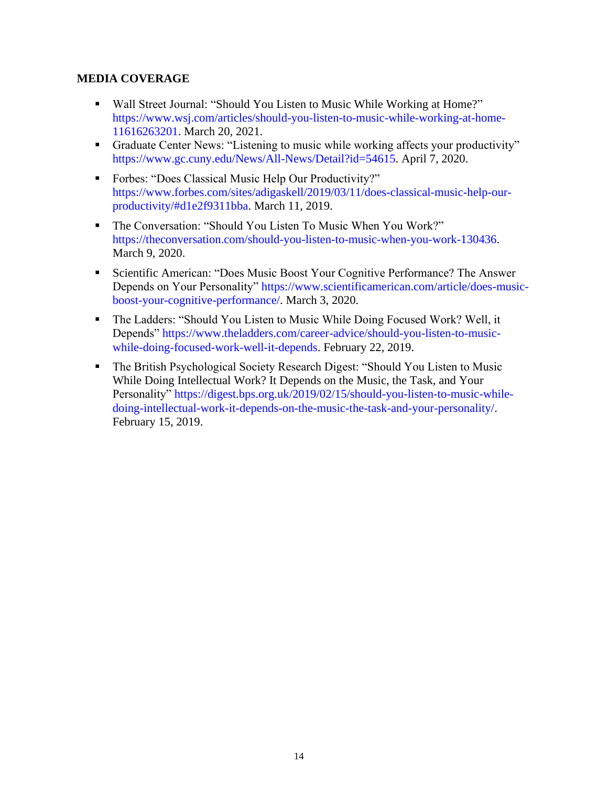# **MEDIA COVERAGE**

- Wall Street Journal: "Should You Listen to Music While Working at Home?" https://www.wsj.com/articles/should-you-listen-to-music-while-working-at-home-11616263201. March 20, 2021.
- Graduate Center News: "Listening to music while working affects your productivity" https://www.gc.cuny.edu/News/All-News/Detail?id=54615. April 7, 2020.
- Forbes: "Does Classical Music Help Our Productivity?" https://www.forbes.com/sites/adigaskell/2019/03/11/does-classical-music-help-ourproductivity/#d1e2f9311bba. March 11, 2019.
- The Conversation: "Should You Listen To Music When You Work?" https://theconversation.com/should-you-listen-to-music-when-you-work-130436. March 9, 2020.
- Scientific American: "Does Music Boost Your Cognitive Performance? The Answer Depends on Your Personality" https://www.scientificamerican.com/article/does-musicboost-your-cognitive-performance/. March 3, 2020.
- The Ladders: "Should You Listen to Music While Doing Focused Work? Well, it Depends" https://www.theladders.com/career-advice/should-you-listen-to-musicwhile-doing-focused-work-well-it-depends. February 22, 2019.
- The British Psychological Society Research Digest: "Should You Listen to Music While Doing Intellectual Work? It Depends on the Music, the Task, and Your Personality" https://digest.bps.org.uk/2019/02/15/should-you-listen-to-music-whiledoing-intellectual-work-it-depends-on-the-music-the-task-and-your-personality/. February 15, 2019.